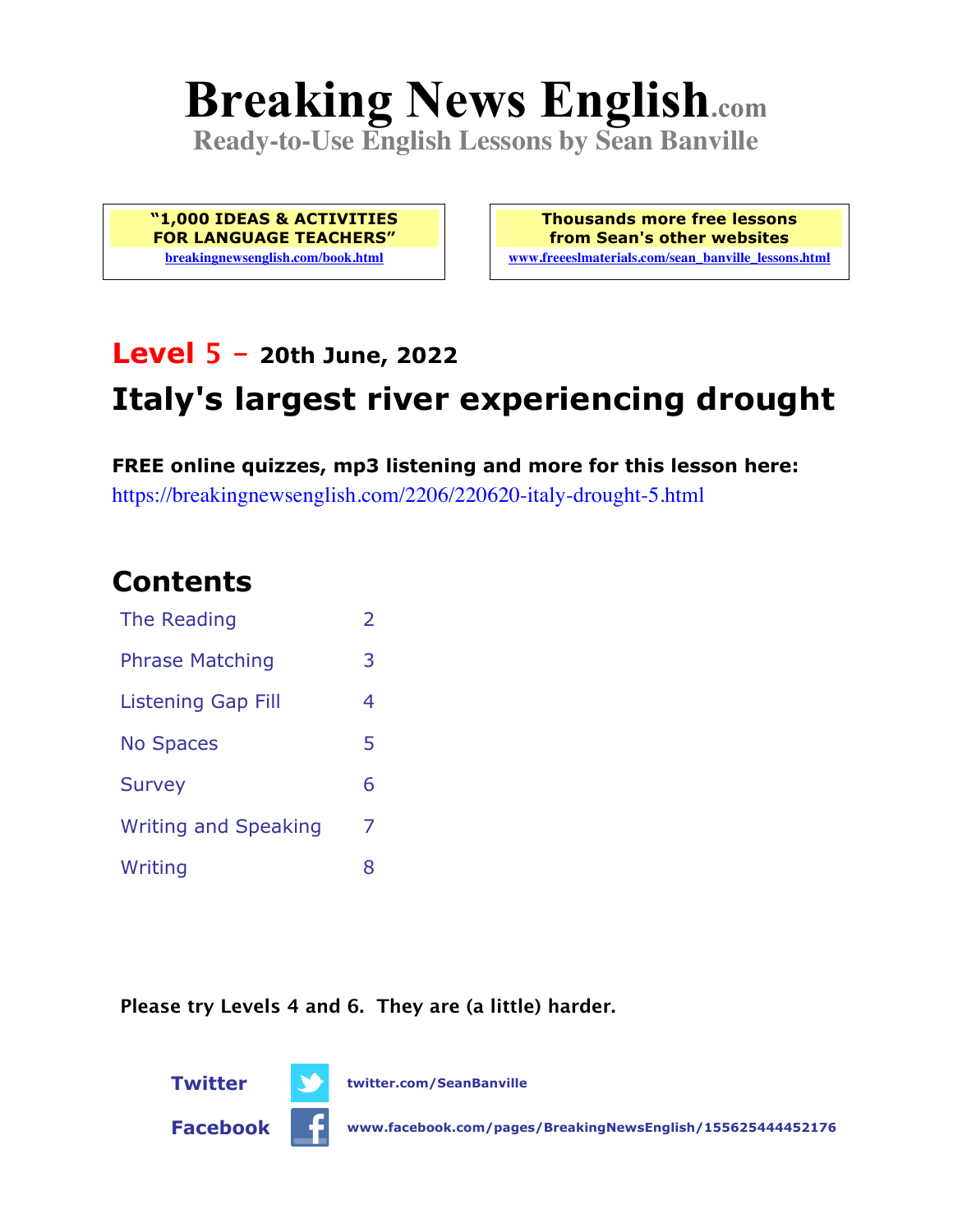# **Breaking News English.com**

**Ready-to-Use English Lessons by Sean Banville**

**"1,000 IDEAS & ACTIVITIES FOR LANGUAGE TEACHERS" breakingnewsenglish.com/book.html**

**Thousands more free lessons from Sean's other websites www.freeeslmaterials.com/sean\_banville\_lessons.html**

# **Level 5 - 20th June, 2022**

# **Italy's largest river experiencing drought**

**FREE online quizzes, mp3 listening and more for this lesson here:** https://breakingnewsenglish.com/2206/220620-italy-drought-5.html

### **Contents**

| The Reading                 | $\overline{2}$ |
|-----------------------------|----------------|
| <b>Phrase Matching</b>      | 3              |
| <b>Listening Gap Fill</b>   | 4              |
| <b>No Spaces</b>            | 5              |
| <b>Survey</b>               | 6              |
| <b>Writing and Speaking</b> | 7              |
| Writing                     | 8              |

**Please try Levels 4 and 6. They are (a little) harder.**





**Twitter twitter.com/SeanBanville**

**Facebook www.facebook.com/pages/BreakingNewsEnglish/155625444452176**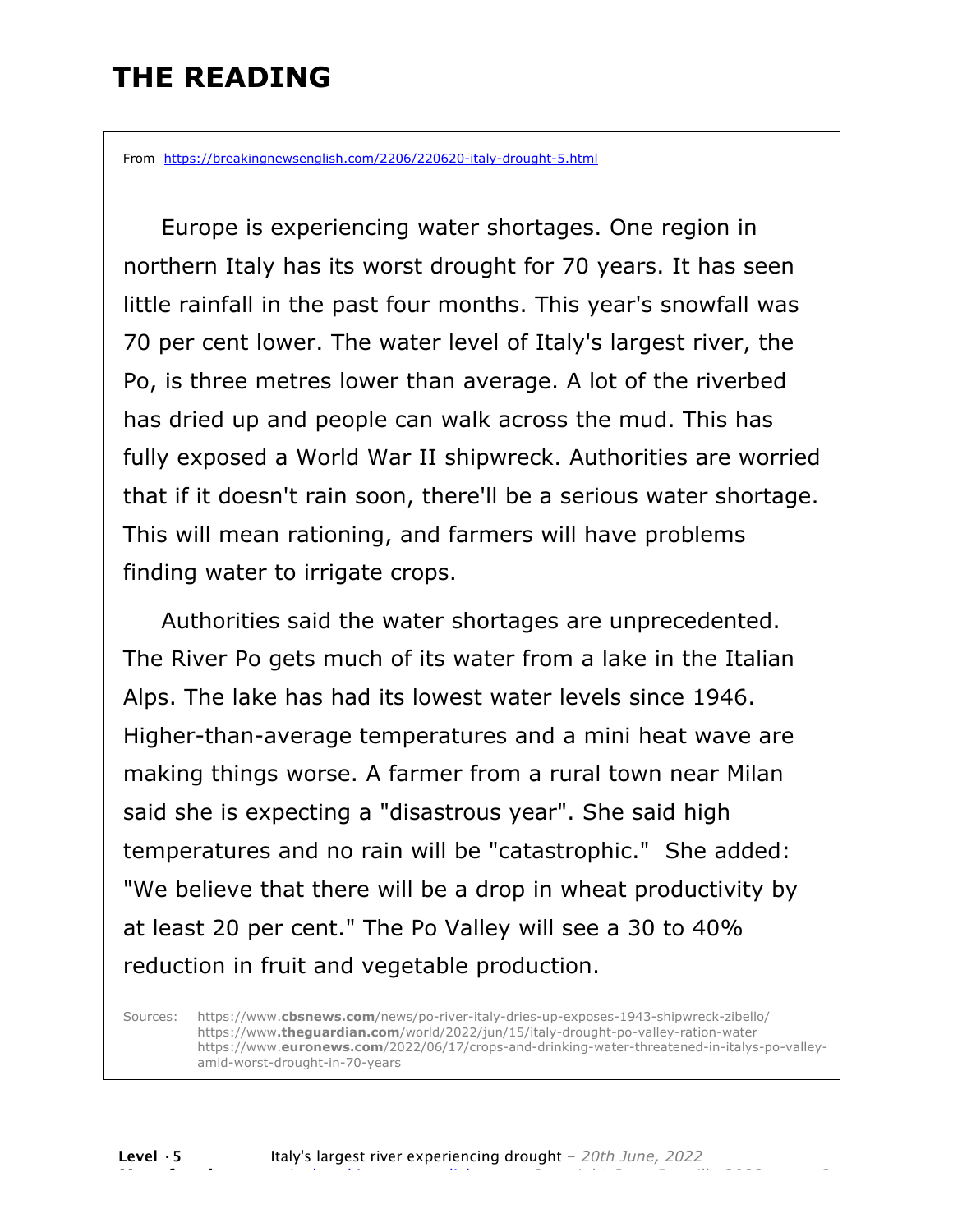### **THE READING**

From https://breakingnewsenglish.com/2206/220620-italy-drought-5.html

 Europe is experiencing water shortages. One region in northern Italy has its worst drought for 70 years. It has seen little rainfall in the past four months. This year's snowfall was 70 per cent lower. The water level of Italy's largest river, the Po, is three metres lower than average. A lot of the riverbed has dried up and people can walk across the mud. This has fully exposed a World War II shipwreck. Authorities are worried that if it doesn't rain soon, there'll be a serious water shortage. This will mean rationing, and farmers will have problems finding water to irrigate crops.

 Authorities said the water shortages are unprecedented. The River Po gets much of its water from a lake in the Italian Alps. The lake has had its lowest water levels since 1946. Higher-than-average temperatures and a mini heat wave are making things worse. A farmer from a rural town near Milan said she is expecting a "disastrous year". She said high temperatures and no rain will be "catastrophic." She added: "We believe that there will be a drop in wheat productivity by at least 20 per cent." The Po Valley will see a 30 to 40% reduction in fruit and vegetable production.

Sources: https://www.**cbsnews.com**/news/po-river-italy-dries-up-exposes-1943-shipwreck-zibello/ https://www**.theguardian.com**/world/2022/jun/15/italy-drought-po-valley-ration-water https://www.**euronews.com**/2022/06/17/crops-and-drinking-water-threatened-in-italys-po-valleyamid-worst-drought-in-70-years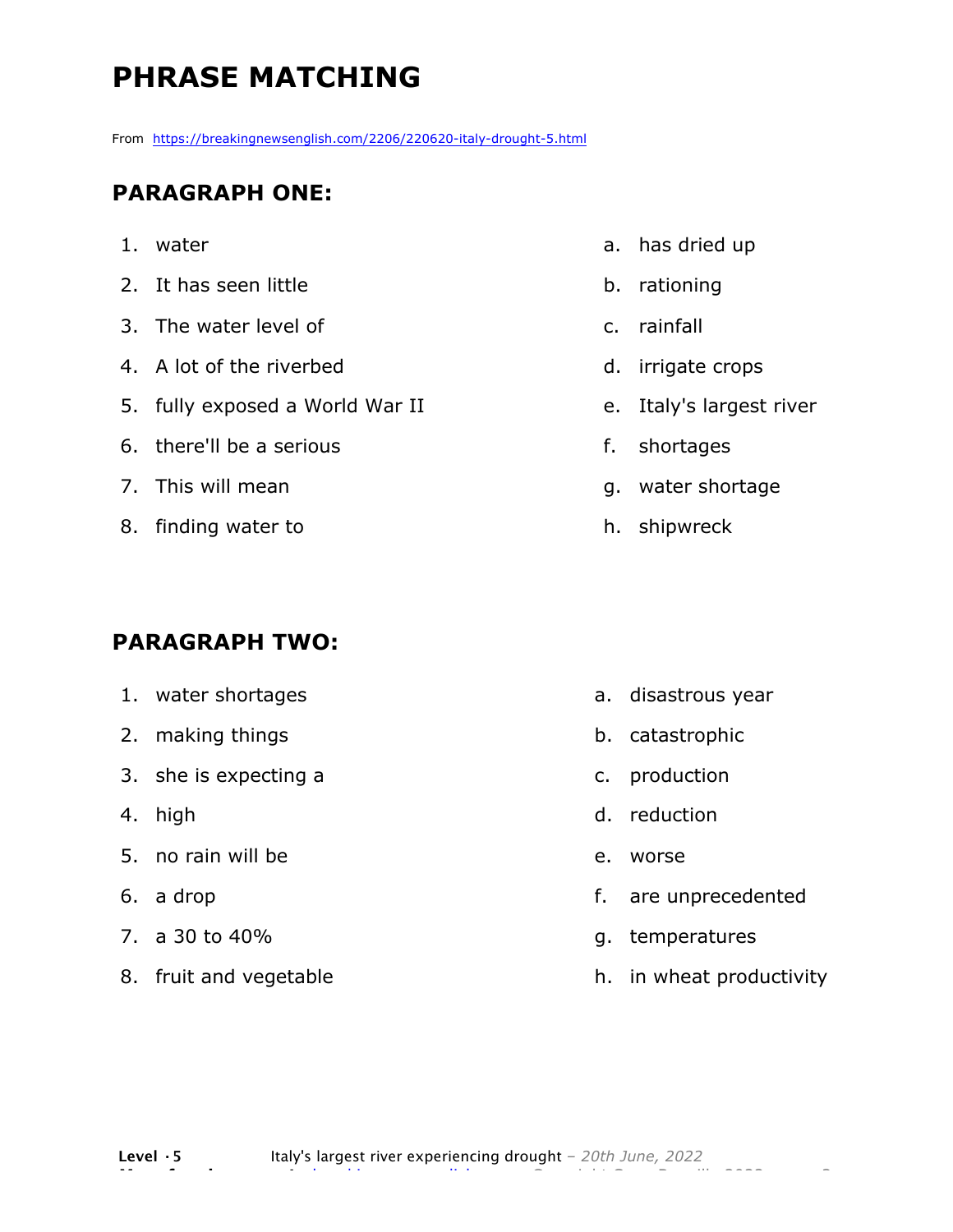### **PHRASE MATCHING**

From https://breakingnewsenglish.com/2206/220620-italy-drought-5.html

#### **PARAGRAPH ONE:**

- 1. water
- 2. It has seen little
- 3. The water level of
- 4. A lot of the riverbed
- 5. fully exposed a World War II
- 6. there'll be a serious
- 7. This will mean
- 8. finding water to

#### **PARAGRAPH TWO:**

- 1. water shortages
- 2. making things
- 3. she is expecting a
- 4. high
- 5. no rain will be
- 6. a drop
- 7. a 30 to 40%
- 8. fruit and vegetable
- a. has dried up
- b. rationing
- c. rainfall
- d. irrigate crops
- e. Italy's largest river
- f. shortages
- g. water shortage
- h. shipwreck

- a. disastrous year
- b. catastrophic
- c. production
- d. reduction
- e. worse
- f. are unprecedented
- g. temperatures
- h. in wheat productivity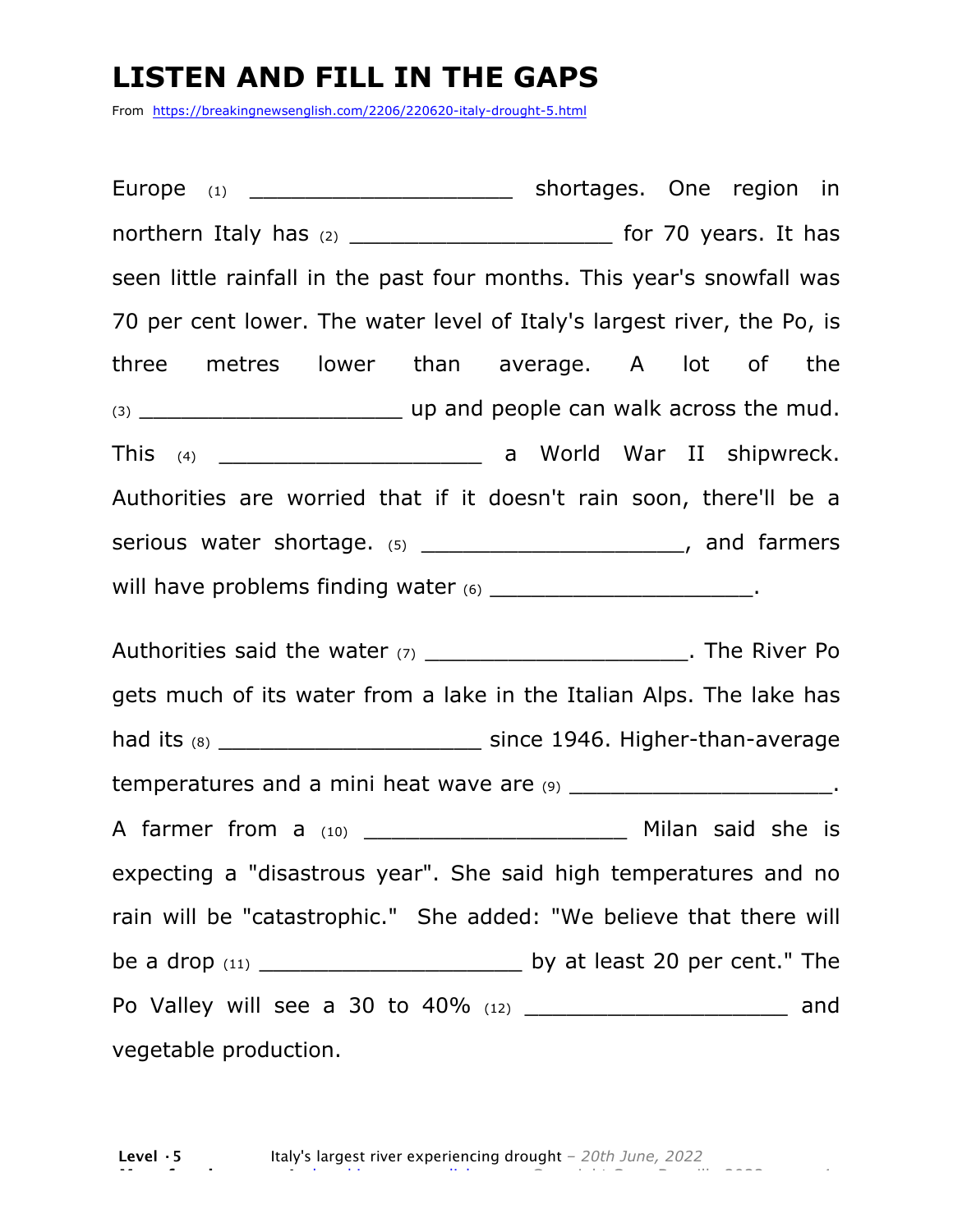### **LISTEN AND FILL IN THE GAPS**

From https://breakingnewsenglish.com/2206/220620-italy-drought-5.html

Europe (1) \_\_\_\_\_\_\_\_\_\_\_\_\_\_\_\_\_\_\_\_\_\_\_ shortages. One region in northern Italy has (2) \_\_\_\_\_\_\_\_\_\_\_\_\_\_\_\_\_\_\_ for 70 years. It has seen little rainfall in the past four months. This year's snowfall was 70 per cent lower. The water level of Italy's largest river, the Po, is three metres lower than average. A lot of the (3) \_\_\_\_\_\_\_\_\_\_\_\_\_\_\_\_\_\_\_ up and people can walk across the mud. This (4) **This (4) Contract Contract Contract Contract Contract Contract Contract Contract Contract Contract Contract Contract Contract Contract Contract Contract Contract Contract Contract Contract Contract Contract Con** Authorities are worried that if it doesn't rain soon, there'll be a serious water shortage.  $(5)$  \_\_\_\_\_\_\_\_\_\_\_\_\_\_\_\_\_\_\_\_\_\_\_, and farmers will have problems finding water (6) \_\_\_\_\_\_\_\_\_\_\_\_\_\_\_\_\_\_\_\_\_\_\_\_\_\_\_.

Authorities said the water (7) **Example 2 and Solution** The River Po gets much of its water from a lake in the Italian Alps. The lake has had its (8) \_\_\_\_\_\_\_\_\_\_\_\_\_\_\_\_\_\_\_ since 1946. Higher-than-average temperatures and a mini heat wave are  $(9)$   $(9)$ A farmer from a  $(10)$  and the said she is expecting a "disastrous year". She said high temperatures and no rain will be "catastrophic." She added: "We believe that there will be a drop (11) \_\_\_\_\_\_\_\_\_\_\_\_\_\_\_\_\_\_\_ by at least 20 per cent." The Po Valley will see a 30 to 40% (12) \_\_\_\_\_\_\_\_\_\_\_\_\_\_\_\_\_\_\_ and vegetable production.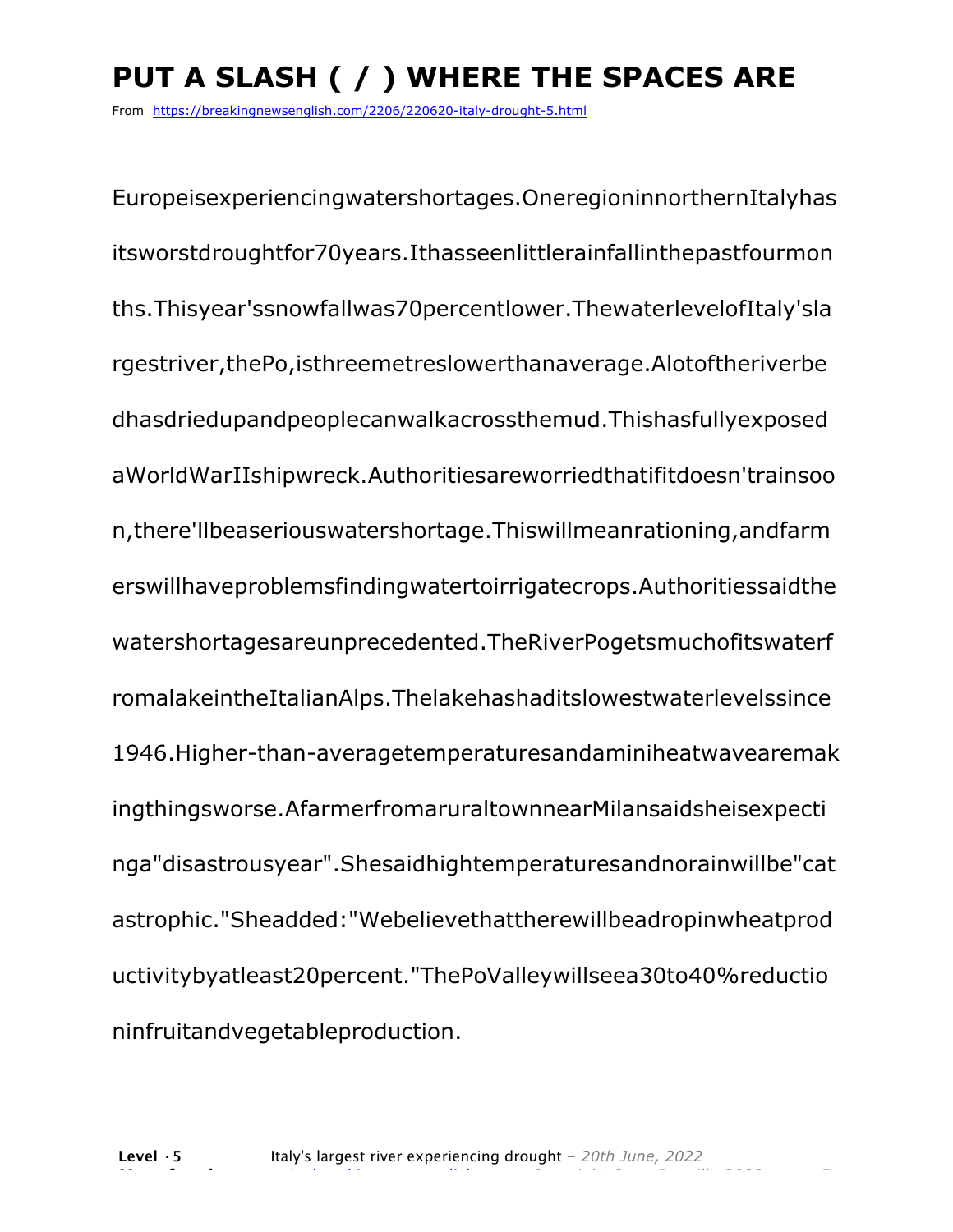## **PUT A SLASH ( / ) WHERE THE SPACES ARE**

From https://breakingnewsenglish.com/2206/220620-italy-drought-5.html

Europeisexperiencingwatershortages.OneregioninnorthernItalyhas itsworstdroughtfor70years.Ithasseenlittlerainfallinthepastfourmon ths.Thisyear'ssnowfallwas70percentlower.ThewaterlevelofItaly'sla rgestriver,thePo,isthreemetreslowerthanaverage.Alotoftheriverbe dhasdriedupandpeoplecanwalkacrossthemud.Thishasfullyexposed aWorldWarIIshipwreck.Authoritiesareworriedthatifitdoesn'trainsoo n,there'llbeaseriouswatershortage.Thiswillmeanrationing,andfarm erswillhaveproblemsfindingwatertoirrigatecrops.Authoritiessaidthe watershortagesareunprecedented.TheRiverPogetsmuchofitswaterf romalakeintheItalianAlps.Thelakehashaditslowestwaterlevelssince 1946.Higher-than-averagetemperaturesandaminiheatwavearemak ingthingsworse.AfarmerfromaruraltownnearMilansaidsheisexpecti nga"disastrousyear".Shesaidhightemperaturesandnorainwillbe"cat astrophic."Sheadded:"Webelievethattherewillbeadropinwheatprod uctivitybyatleast20percent."ThePoValleywillseea30to40%reductio ninfruitandvegetableproduction.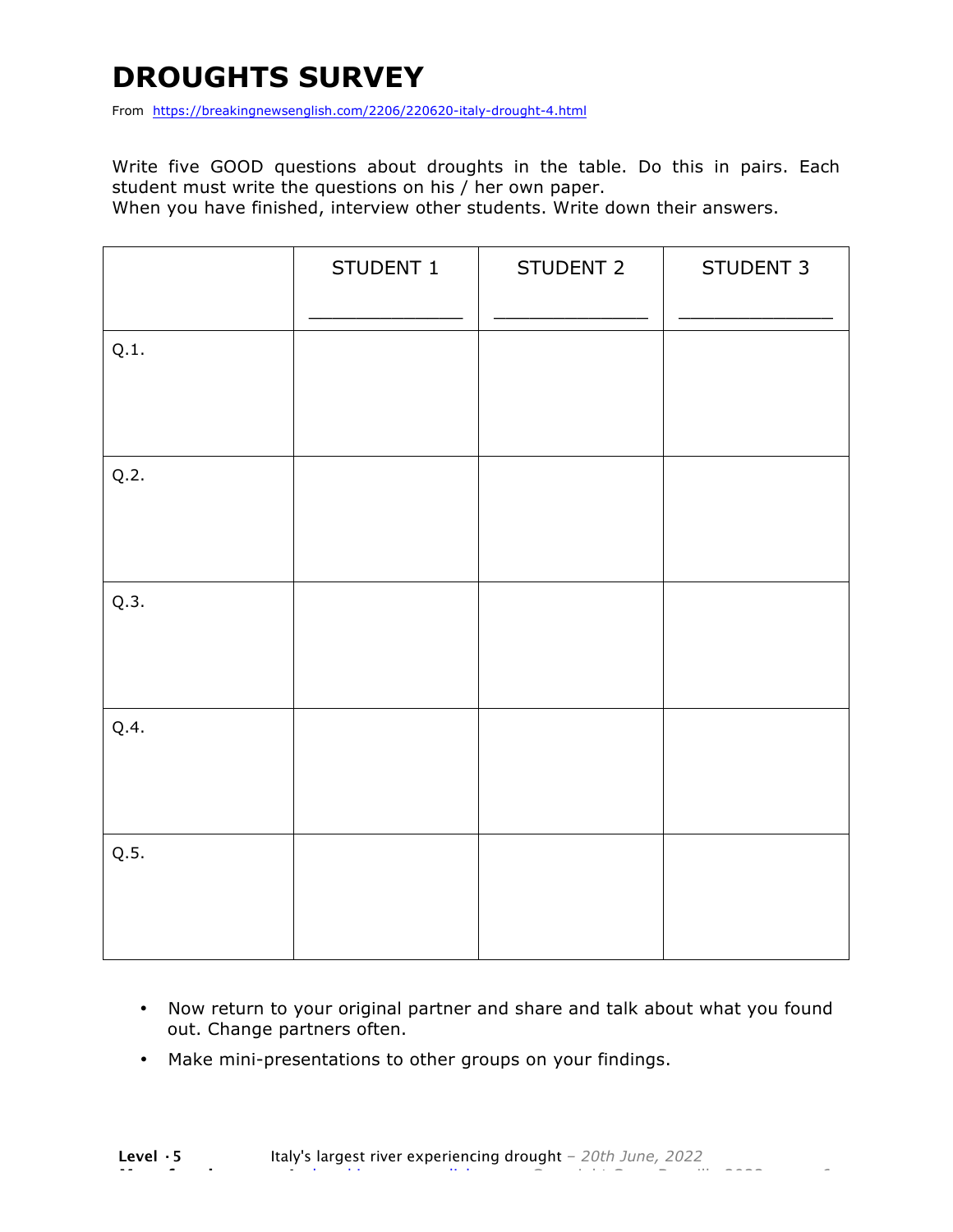### **DROUGHTS SURVEY**

From https://breakingnewsenglish.com/2206/220620-italy-drought-4.html

Write five GOOD questions about droughts in the table. Do this in pairs. Each student must write the questions on his / her own paper.

When you have finished, interview other students. Write down their answers.

|      | STUDENT 1 | STUDENT 2 | STUDENT 3 |
|------|-----------|-----------|-----------|
| Q.1. |           |           |           |
| Q.2. |           |           |           |
| Q.3. |           |           |           |
| Q.4. |           |           |           |
| Q.5. |           |           |           |

- Now return to your original partner and share and talk about what you found out. Change partners often.
- Make mini-presentations to other groups on your findings.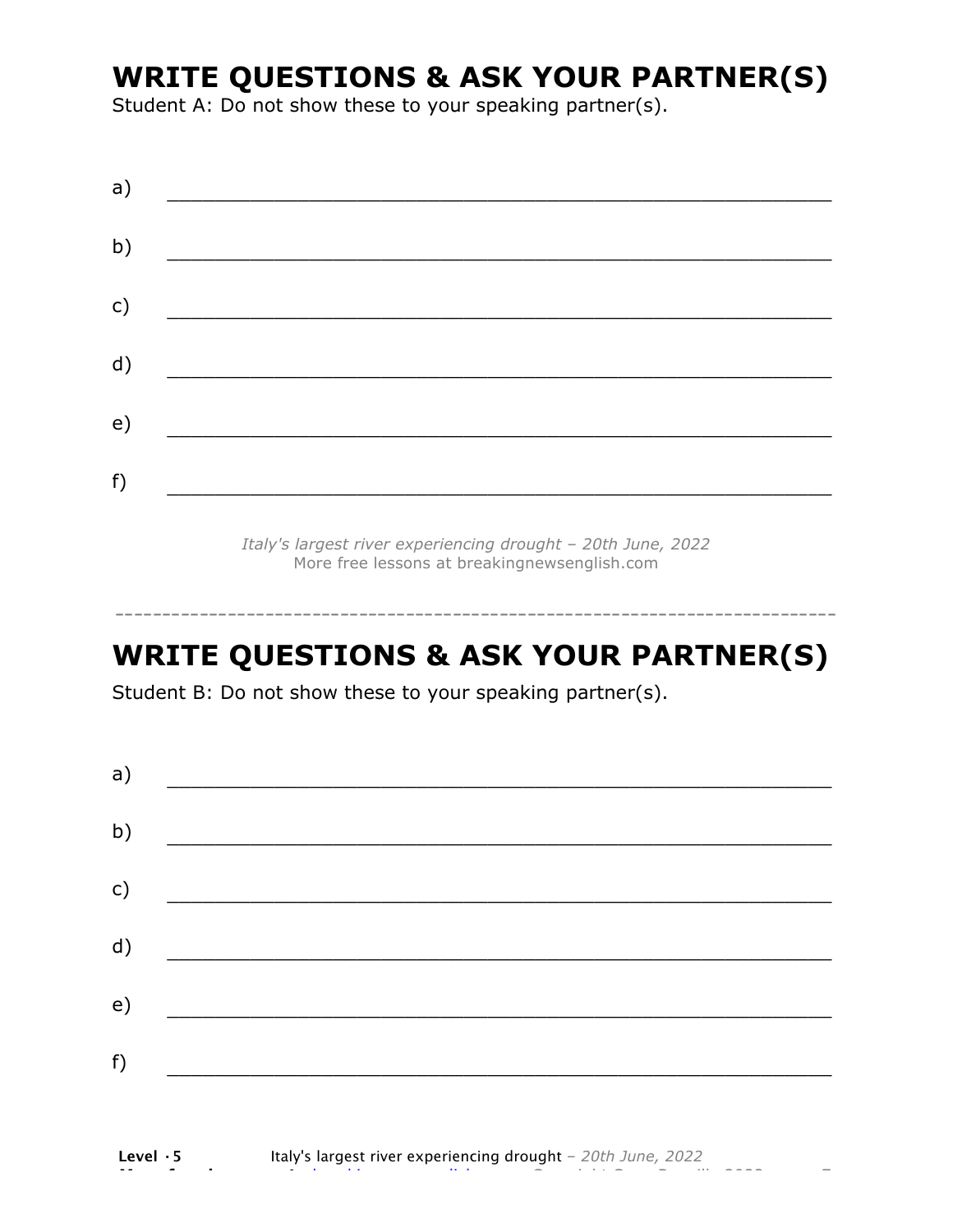### **WRITE QUESTIONS & ASK YOUR PARTNER(S)**

Student A: Do not show these to your speaking partner(s).

| a) |  |  |
|----|--|--|
| b) |  |  |
| c) |  |  |
| d) |  |  |
| e) |  |  |
| f) |  |  |

*Italy's largest river experiencing drought – 20th June, 2022* More free lessons at breakingnewsenglish.com

### **WRITE QUESTIONS & ASK YOUR PARTNER(S)**

-----------------------------------------------------------------------------

Student B: Do not show these to your speaking partner(s).

| a)            |  |  |
|---------------|--|--|
| b)            |  |  |
| $\mathsf{c})$ |  |  |
| d)            |  |  |
| e)            |  |  |
| f)            |  |  |
|               |  |  |